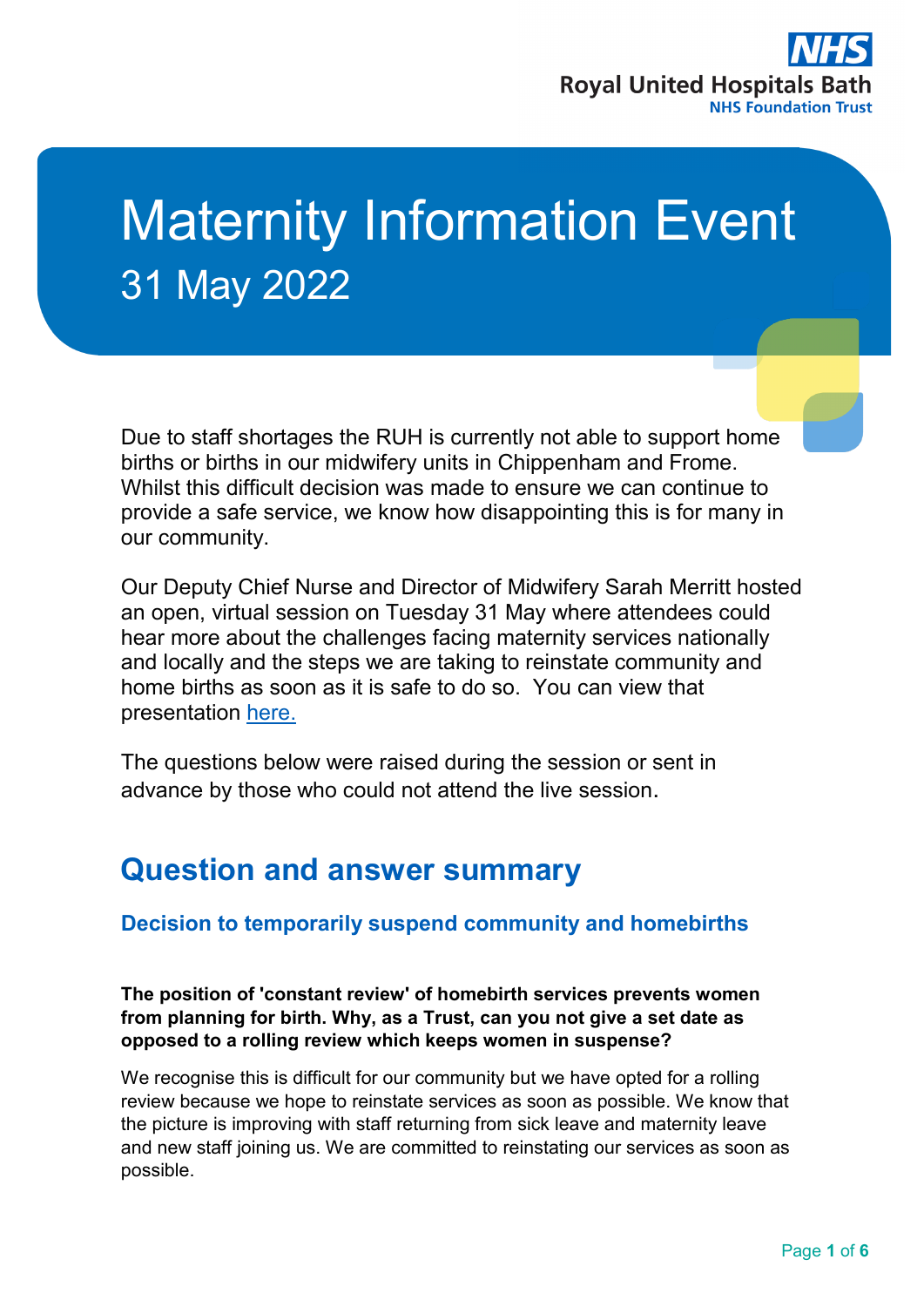

# Maternity Information Event 31 May 2022

Due to staff shortages the RUH is currently not able to support home births or births in our midwifery units in Chippenham and Frome. Whilst this difficult decision was made to ensure we can continue to provide a safe service, we know how disappointing this is for many in our community.

Our Deputy Chief Nurse and Director of Midwifery Sarah Merritt hosted an open, virtual session on Tuesday 31 May where attendees could hear more about the challenges facing maternity services nationally and locally and the steps we are taking to reinstate community and home births as soon as it is safe to do so. You can view that presentation [here.](https://youtu.be/Hm7tvM6DESU)

The questions below were raised during the session or sent in advance by those who could not attend the live session.

# **Question and answer summary**

# **Decision to temporarily suspend community and homebirths**

**The position of 'constant review' of homebirth services prevents women from planning for birth. Why, as a Trust, can you not give a set date as opposed to a rolling review which keeps women in suspense?**

We recognise this is difficult for our community but we have opted for a rolling review because we hope to reinstate services as soon as possible. We know that the picture is improving with staff returning from sick leave and maternity leave and new staff joining us. We are committed to reinstating our services as soon as possible.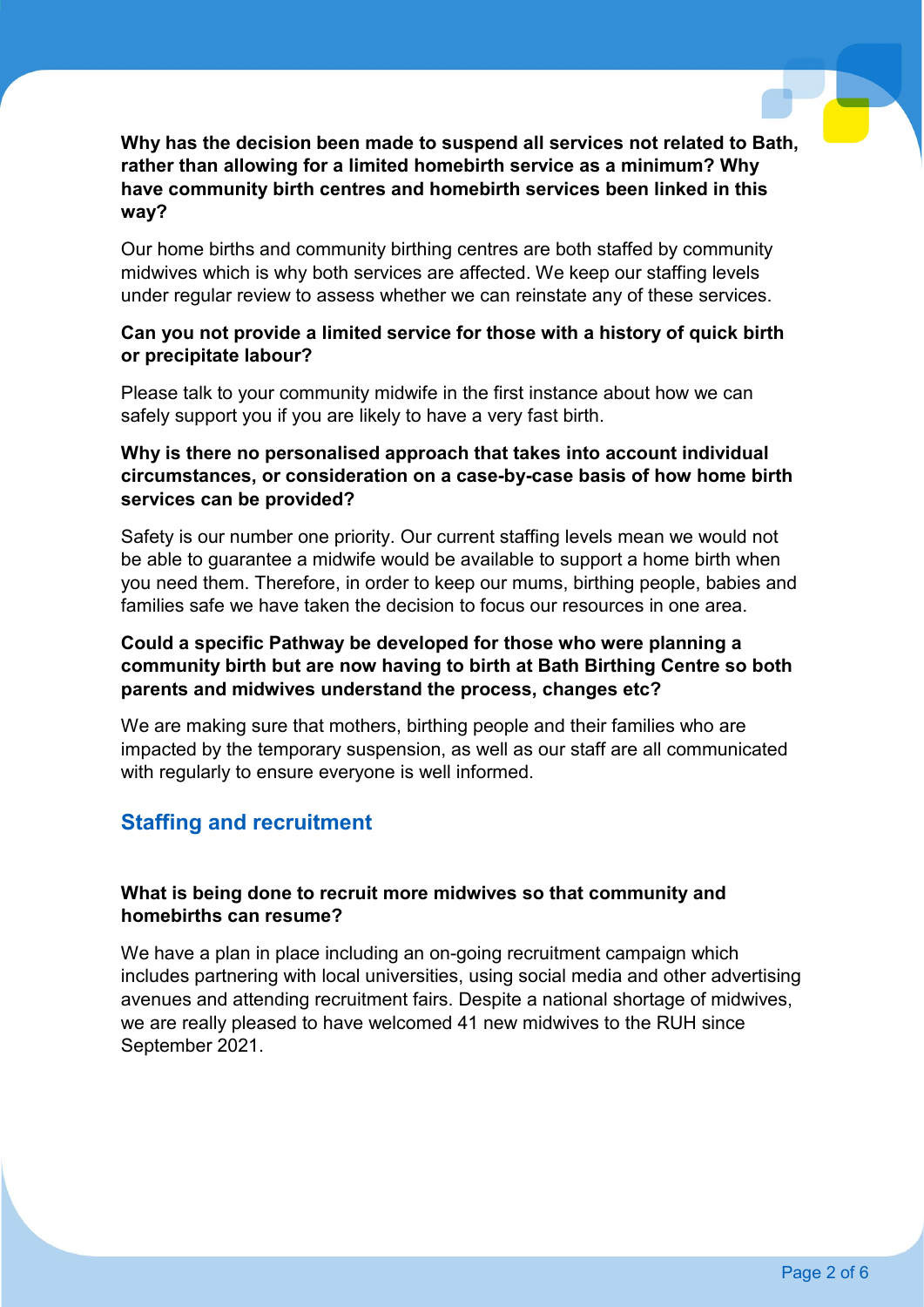#### **Why has the decision been made to suspend all services not related to Bath, rather than allowing for a limited homebirth service as a minimum? Why have community birth centres and homebirth services been linked in this way?**

Our home births and community birthing centres are both staffed by community midwives which is why both services are affected. We keep our staffing levels under regular review to assess whether we can reinstate any of these services.

#### **Can you not provide a limited service for those with a history of quick birth or precipitate labour?**

Please talk to your community midwife in the first instance about how we can safely support you if you are likely to have a very fast birth.

#### **Why is there no personalised approach that takes into account individual circumstances, or consideration on a case-by-case basis of how home birth services can be provided?**

Safety is our number one priority. Our current staffing levels mean we would not be able to guarantee a midwife would be available to support a home birth when you need them. Therefore, in order to keep our mums, birthing people, babies and families safe we have taken the decision to focus our resources in one area.

#### **Could a specific Pathway be developed for those who were planning a community birth but are now having to birth at Bath Birthing Centre so both parents and midwives understand the process, changes etc?**

We are making sure that mothers, birthing people and their families who are impacted by the temporary suspension, as well as our staff are all communicated with regularly to ensure everyone is well informed.

# **Staffing and recruitment**

#### **What is being done to recruit more midwives so that community and homebirths can resume?**

We have a plan in place including an on-going recruitment campaign which includes partnering with local universities, using social media and other advertising avenues and attending recruitment fairs. Despite a national shortage of midwives, we are really pleased to have welcomed 41 new midwives to the RUH since September 2021.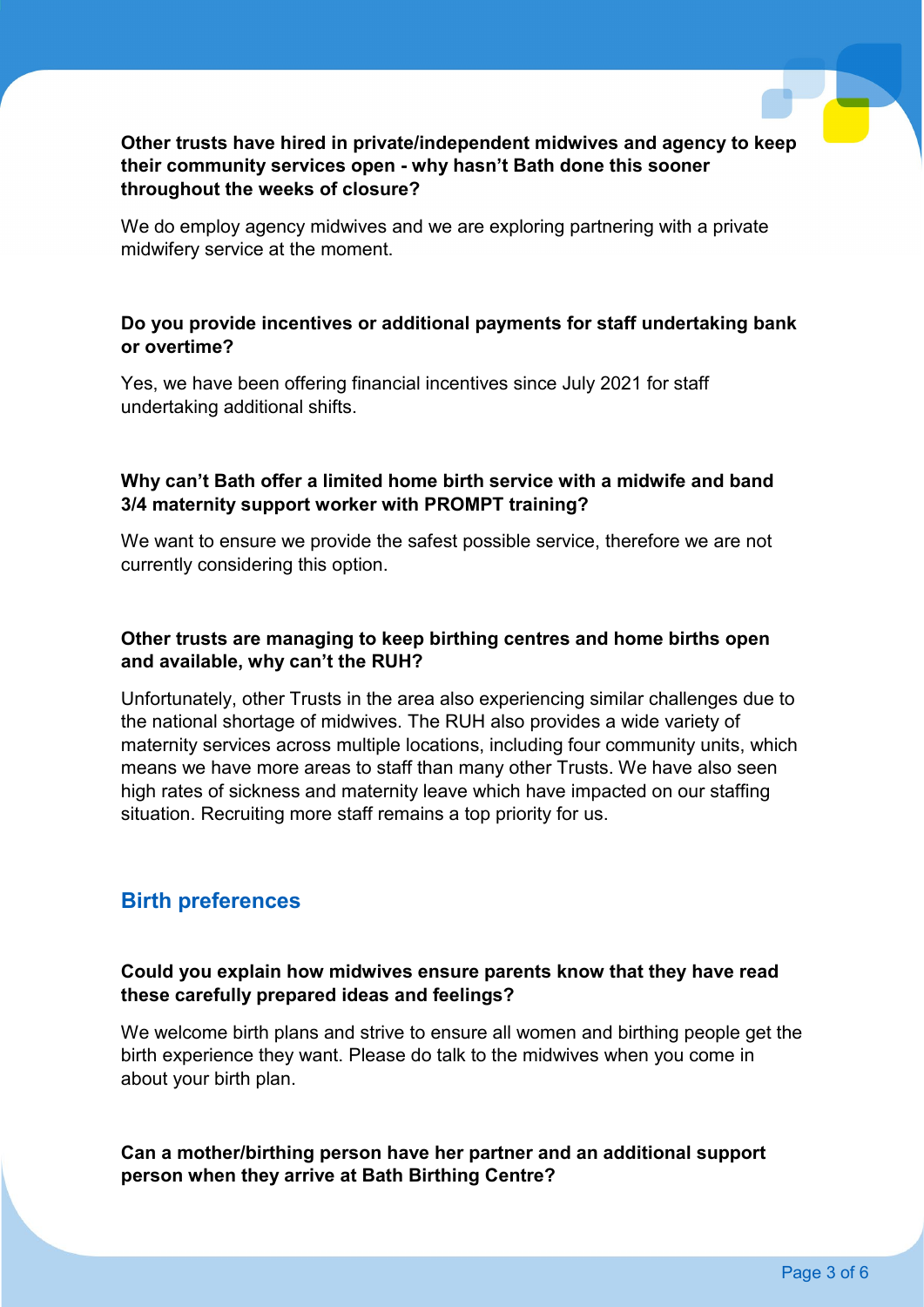#### **Other trusts have hired in private/independent midwives and agency to keep their community services open - why hasn't Bath done this sooner throughout the weeks of closure?**

We do employ agency midwives and we are exploring partnering with a private midwifery service at the moment.

#### **Do you provide incentives or additional payments for staff undertaking bank or overtime?**

Yes, we have been offering financial incentives since July 2021 for staff undertaking additional shifts.

#### **Why can't Bath offer a limited home birth service with a midwife and band 3/4 maternity support worker with PROMPT training?**

We want to ensure we provide the safest possible service, therefore we are not currently considering this option.

#### **Other trusts are managing to keep birthing centres and home births open and available, why can't the RUH?**

Unfortunately, other Trusts in the area also experiencing similar challenges due to the national shortage of midwives. The RUH also provides a wide variety of maternity services across multiple locations, including four community units, which means we have more areas to staff than many other Trusts. We have also seen high rates of sickness and maternity leave which have impacted on our staffing situation. Recruiting more staff remains a top priority for us.

# **Birth preferences**

#### **Could you explain how midwives ensure parents know that they have read these carefully prepared ideas and feelings?**

We welcome birth plans and strive to ensure all women and birthing people get the birth experience they want. Please do talk to the midwives when you come in about your birth plan.

#### **Can a mother/birthing person have her partner and an additional support person when they arrive at Bath Birthing Centre?**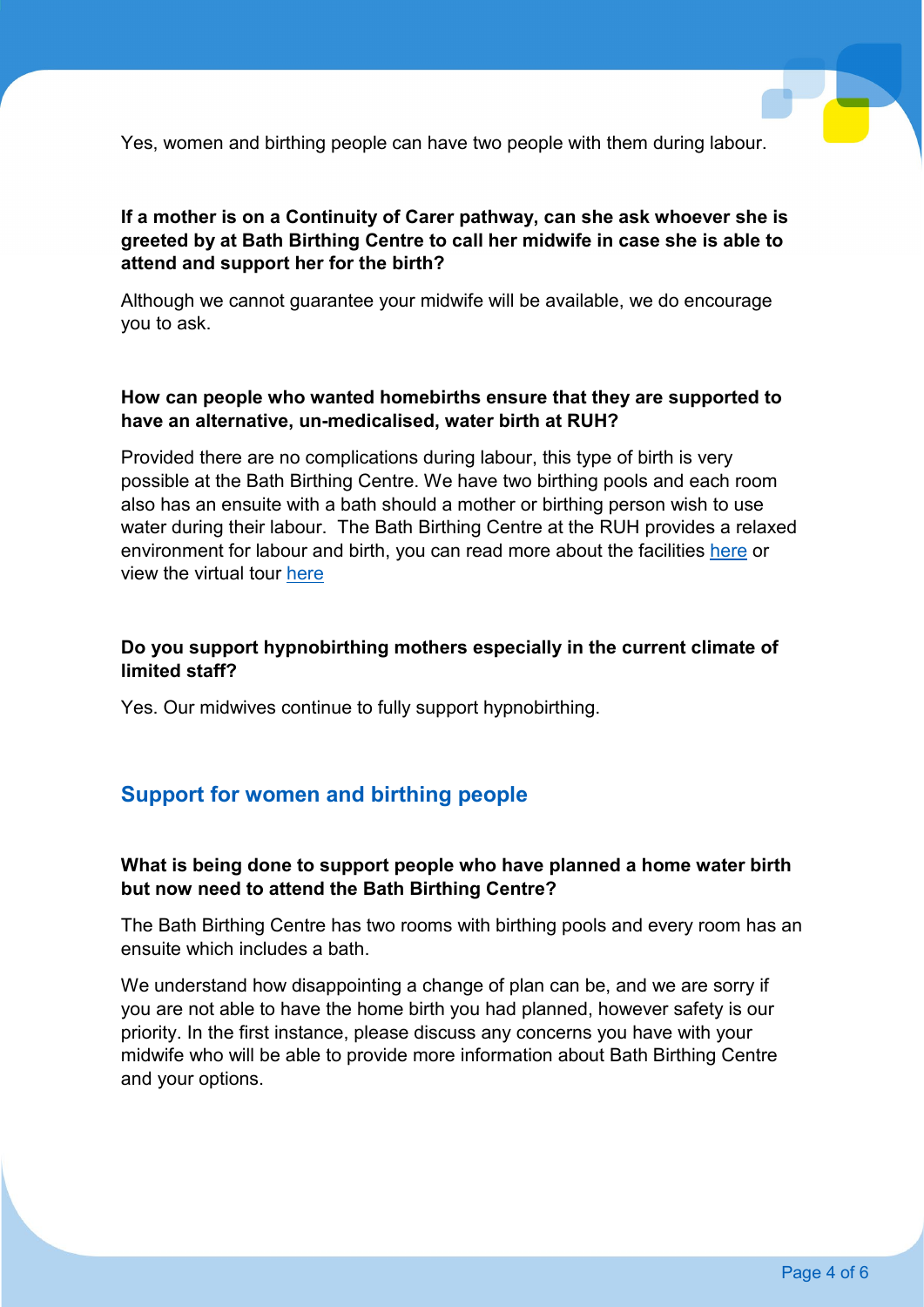Yes, women and birthing people can have two people with them during labour.

#### **If a mother is on a Continuity of Carer pathway, can she ask whoever she is greeted by at Bath Birthing Centre to call her midwife in case she is able to attend and support her for the birth?**

Although we cannot guarantee your midwife will be available, we do encourage you to ask.

#### **How can people who wanted homebirths ensure that they are supported to have an alternative, un-medicalised, water birth at RUH?**

Provided there are no complications during labour, this type of birth is very possible at the Bath Birthing Centre. We have two birthing pools and each room also has an ensuite with a bath should a mother or birthing person wish to use water during their labour. The Bath Birthing Centre at the RUH provides a relaxed environment for labour and birth, you can read more about the facilities [here](https://www.ruh.nhs.uk/patients/services/maternity/documents/Welcome.pdf) or view the virtual tour [here](https://youtu.be/kJjhD_B8JdI)

#### **Do you support hypnobirthing mothers especially in the current climate of limited staff?**

Yes. Our midwives continue to fully support hypnobirthing.

# **Support for women and birthing people**

#### **What is being done to support people who have planned a home water birth but now need to attend the Bath Birthing Centre?**

The Bath Birthing Centre has two rooms with birthing pools and every room has an ensuite which includes a bath.

We understand how disappointing a change of plan can be, and we are sorry if you are not able to have the home birth you had planned, however safety is our priority. In the first instance, please discuss any concerns you have with your midwife who will be able to provide more information about Bath Birthing Centre and your options.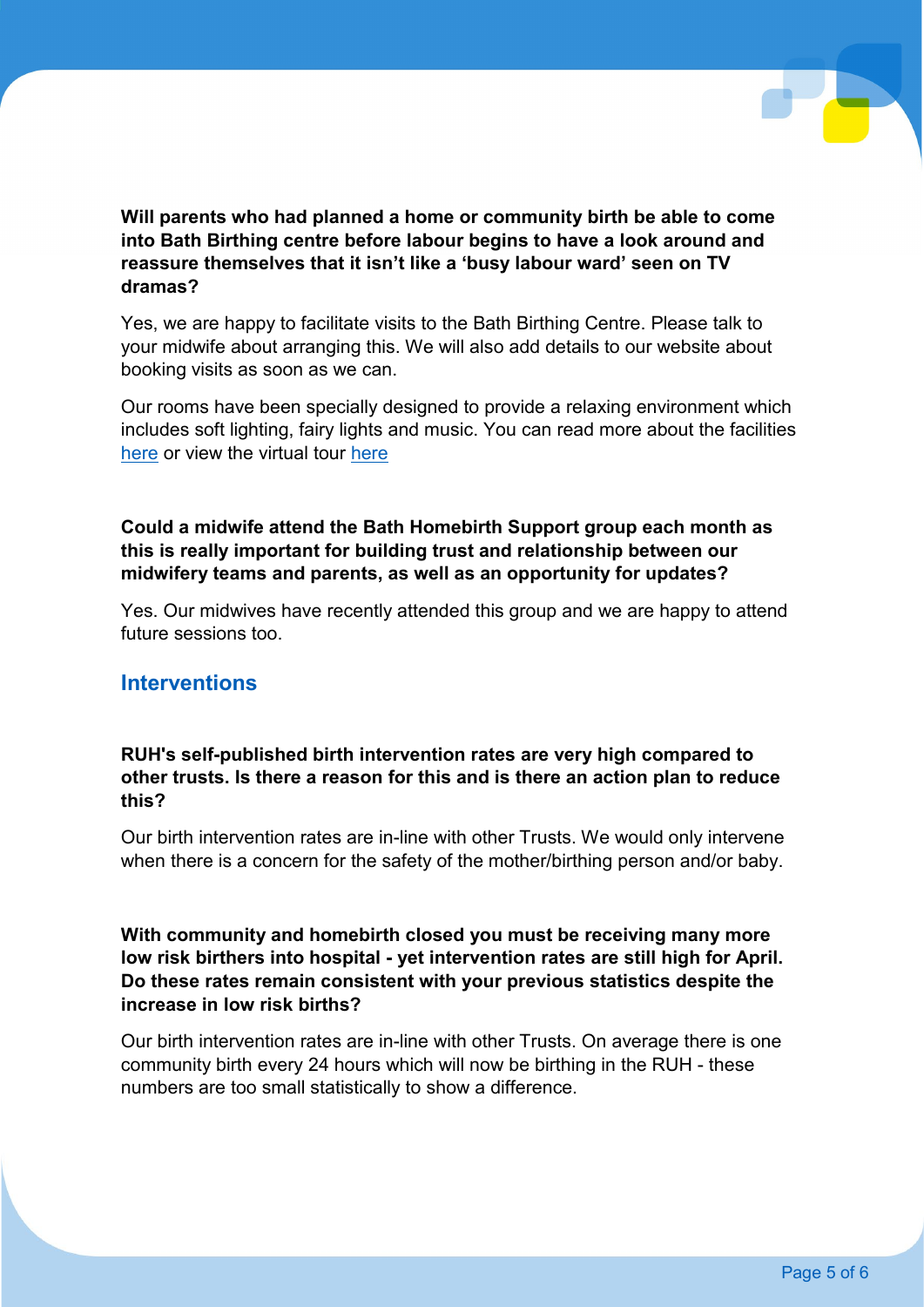

**Will parents who had planned a home or community birth be able to come into Bath Birthing centre before labour begins to have a look around and reassure themselves that it isn't like a 'busy labour ward' seen on TV dramas?** 

Yes, we are happy to facilitate visits to the Bath Birthing Centre. Please talk to your midwife about arranging this. We will also add details to our website about booking visits as soon as we can.

Our rooms have been specially designed to provide a relaxing environment which includes soft lighting, fairy lights and music. You can read more about the facilities [here](https://www.ruh.nhs.uk/patients/services/maternity/documents/Welcome.pdf) or view the virtual tour [here](https://youtu.be/kJjhD_B8JdI)

#### **Could a midwife attend the Bath Homebirth Support group each month as this is really important for building trust and relationship between our midwifery teams and parents, as well as an opportunity for updates?**

Yes. Our midwives have recently attended this group and we are happy to attend future sessions too.

#### **Interventions**

#### **RUH's self-published birth intervention rates are very high compared to other trusts. Is there a reason for this and is there an action plan to reduce this?**

Our birth intervention rates are in-line with other Trusts. We would only intervene when there is a concern for the safety of the mother/birthing person and/or baby.

**With community and homebirth closed you must be receiving many more low risk birthers into hospital - yet intervention rates are still high for April. Do these rates remain consistent with your previous statistics despite the increase in low risk births?**

Our birth intervention rates are in-line with other Trusts. On average there is one community birth every 24 hours which will now be birthing in the RUH - these numbers are too small statistically to show a difference.